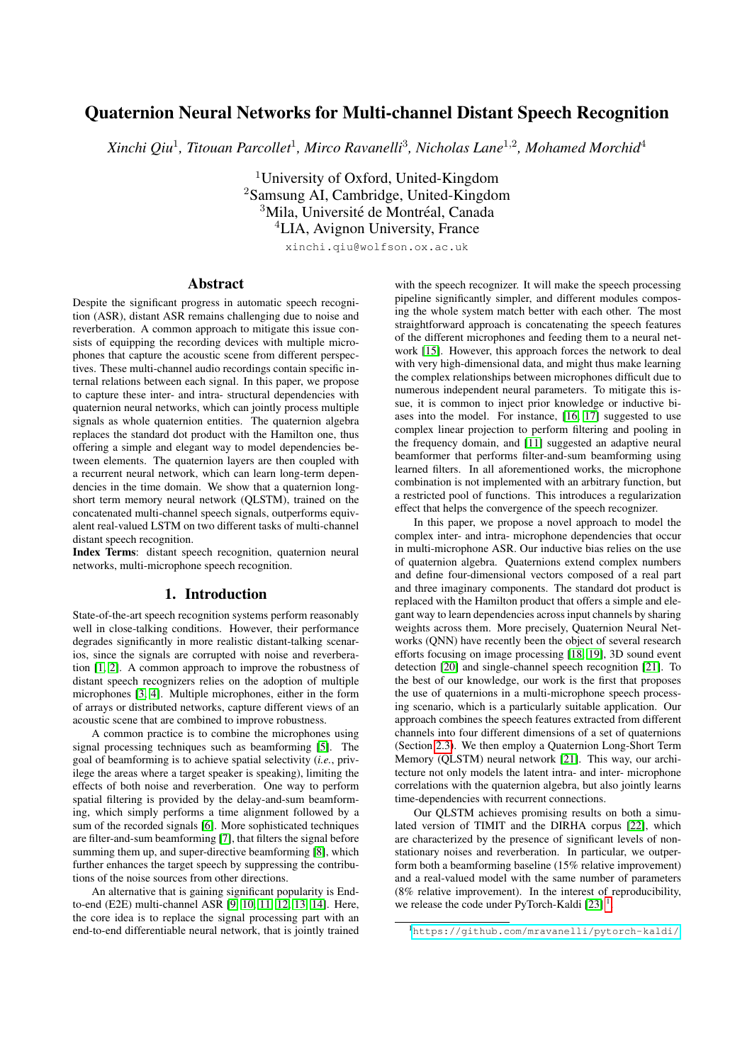# Quaternion Neural Networks for Multi-channel Distant Speech Recognition

Xinchi Qiu<sup>1</sup>, Titouan Parcollet<sup>1</sup>, Mirco Ravanelli<sup>3</sup>, Nicholas Lane<sup>1,2</sup>, Mohamed Morchid<sup>4</sup>

<sup>1</sup>University of Oxford, United-Kingdom <sup>2</sup>Samsung AI, Cambridge, United-Kingdom <sup>3</sup>Mila, Université de Montréal, Canada <sup>4</sup>LIA, Avignon University, France

xinchi.qiu@wolfson.ox.ac.uk

#### Abstract

Despite the significant progress in automatic speech recognition (ASR), distant ASR remains challenging due to noise and reverberation. A common approach to mitigate this issue consists of equipping the recording devices with multiple microphones that capture the acoustic scene from different perspectives. These multi-channel audio recordings contain specific internal relations between each signal. In this paper, we propose to capture these inter- and intra- structural dependencies with quaternion neural networks, which can jointly process multiple signals as whole quaternion entities. The quaternion algebra replaces the standard dot product with the Hamilton one, thus offering a simple and elegant way to model dependencies between elements. The quaternion layers are then coupled with a recurrent neural network, which can learn long-term dependencies in the time domain. We show that a quaternion longshort term memory neural network (QLSTM), trained on the concatenated multi-channel speech signals, outperforms equivalent real-valued LSTM on two different tasks of multi-channel distant speech recognition.

Index Terms: distant speech recognition, quaternion neural networks, multi-microphone speech recognition.

### 1. Introduction

State-of-the-art speech recognition systems perform reasonably well in close-talking conditions. However, their performance degrades significantly in more realistic distant-talking scenarios, since the signals are corrupted with noise and reverberation [\[1,](#page-4-0) [2\]](#page-4-1). A common approach to improve the robustness of distant speech recognizers relies on the adoption of multiple microphones [\[3,](#page-4-2) [4\]](#page-4-3). Multiple microphones, either in the form of arrays or distributed networks, capture different views of an acoustic scene that are combined to improve robustness.

A common practice is to combine the microphones using signal processing techniques such as beamforming [\[5\]](#page-4-4). The goal of beamforming is to achieve spatial selectivity (*i.e.*, privilege the areas where a target speaker is speaking), limiting the effects of both noise and reverberation. One way to perform spatial filtering is provided by the delay-and-sum beamforming, which simply performs a time alignment followed by a sum of the recorded signals [\[6\]](#page-4-5). More sophisticated techniques are filter-and-sum beamforming [\[7\]](#page-4-6), that filters the signal before summing them up, and super-directive beamforming [\[8\]](#page-4-7), which further enhances the target speech by suppressing the contributions of the noise sources from other directions.

An alternative that is gaining significant popularity is Endto-end (E2E) multi-channel ASR [\[9,](#page-4-8) [10,](#page-4-9) [11,](#page-4-10) [12,](#page-4-11) [13,](#page-4-12) [14\]](#page-4-13). Here, the core idea is to replace the signal processing part with an end-to-end differentiable neural network, that is jointly trained

with the speech recognizer. It will make the speech processing pipeline significantly simpler, and different modules composing the whole system match better with each other. The most straightforward approach is concatenating the speech features of the different microphones and feeding them to a neural network [\[15\]](#page-4-14). However, this approach forces the network to deal with very high-dimensional data, and might thus make learning the complex relationships between microphones difficult due to numerous independent neural parameters. To mitigate this issue, it is common to inject prior knowledge or inductive biases into the model. For instance, [\[16,](#page-4-15) [17\]](#page-4-16) suggested to use complex linear projection to perform filtering and pooling in the frequency domain, and [\[11\]](#page-4-10) suggested an adaptive neural beamformer that performs filter-and-sum beamforming using learned filters. In all aforementioned works, the microphone combination is not implemented with an arbitrary function, but a restricted pool of functions. This introduces a regularization effect that helps the convergence of the speech recognizer.

In this paper, we propose a novel approach to model the complex inter- and intra- microphone dependencies that occur in multi-microphone ASR. Our inductive bias relies on the use of quaternion algebra. Quaternions extend complex numbers and define four-dimensional vectors composed of a real part and three imaginary components. The standard dot product is replaced with the Hamilton product that offers a simple and elegant way to learn dependencies across input channels by sharing weights across them. More precisely, Quaternion Neural Networks (QNN) have recently been the object of several research efforts focusing on image processing [\[18,](#page-4-17) [19\]](#page-4-18), 3D sound event detection [\[20\]](#page-4-19) and single-channel speech recognition [\[21\]](#page-4-20). To the best of our knowledge, our work is the first that proposes the use of quaternions in a multi-microphone speech processing scenario, which is a particularly suitable application. Our approach combines the speech features extracted from different channels into four different dimensions of a set of quaternions (Section [2.3\)](#page-1-0). We then employ a Quaternion Long-Short Term Memory (QLSTM) neural network [\[21\]](#page-4-20). This way, our architecture not only models the latent intra- and inter- microphone correlations with the quaternion algebra, but also jointly learns time-dependencies with recurrent connections.

Our QLSTM achieves promising results on both a simulated version of TIMIT and the DIRHA corpus [\[22\]](#page-4-21), which are characterized by the presence of significant levels of nonstationary noises and reverberation. In particular, we outperform both a beamforming baseline (15% relative improvement) and a real-valued model with the same number of parameters (8% relative improvement). In the interest of reproducibility, we release the code under PyTorch-Kaldi  $[23]$ <sup>[1](#page-0-0)</sup>.

<span id="page-0-0"></span><sup>1</sup><https://github.com/mravanelli/pytorch-kaldi/>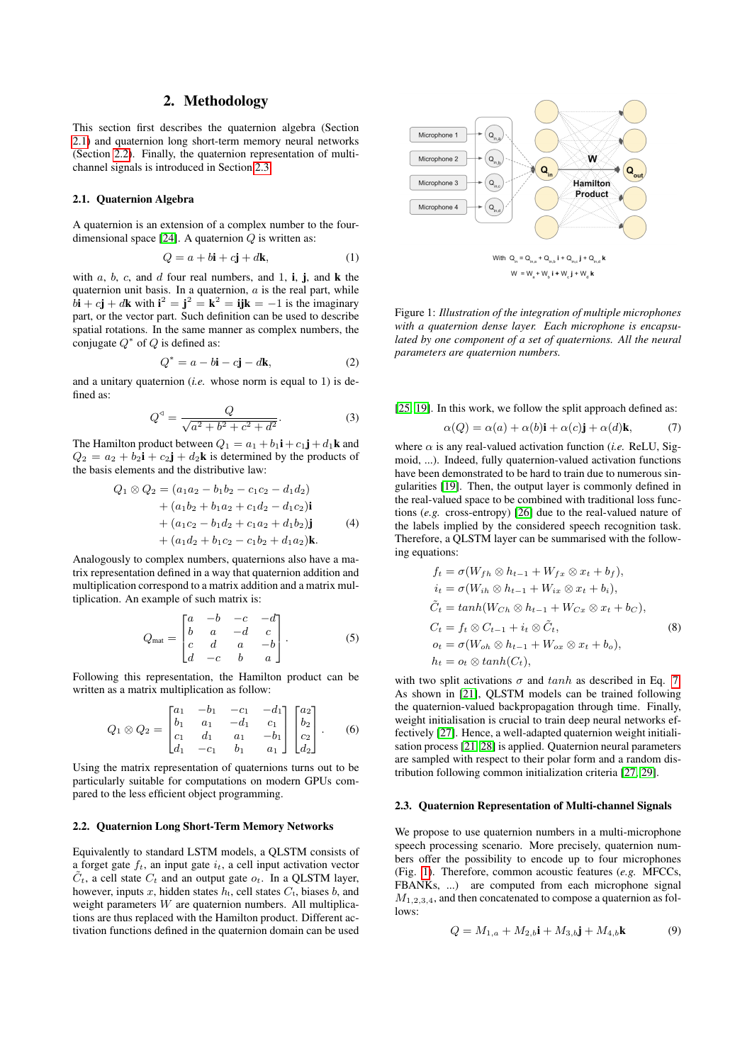## 2. Methodology

This section first describes the quaternion algebra (Section [2.1\)](#page-1-1) and quaternion long short-term memory neural networks (Section [2.2\)](#page-1-2). Finally, the quaternion representation of multichannel signals is introduced in Section [2.3.](#page-1-0)

#### <span id="page-1-1"></span>2.1. Quaternion Algebra

A quaternion is an extension of a complex number to the four-dimensional space [\[24\]](#page-4-23). A quaternion  $Q$  is written as:

$$
Q = a + b\mathbf{i} + c\mathbf{j} + d\mathbf{k},\tag{1}
$$

with  $a, b, c$ , and  $d$  four real numbers, and 1, i, j, and  $k$  the quaternion unit basis. In a quaternion,  $a$  is the real part, while  $b\mathbf{i} + c\mathbf{j} + d\mathbf{k}$  with  $\mathbf{i}^2 = \mathbf{j}^2 = \mathbf{k}^2 = \mathbf{ijk} = -1$  is the imaginary part, or the vector part. Such definition can be used to describe spatial rotations. In the same manner as complex numbers, the conjugate  $Q^*$  of  $Q$  is defined as:

$$
Q^* = a - b\mathbf{i} - c\mathbf{j} - d\mathbf{k},\tag{2}
$$

and a unitary quaternion (*i.e.* whose norm is equal to 1) is defined as:

$$
Q^{4} = \frac{Q}{\sqrt{a^{2} + b^{2} + c^{2} + d^{2}}}.
$$
 (3)

The Hamilton product between  $Q_1 = a_1 + b_1 \mathbf{i} + c_1 \mathbf{j} + d_1 \mathbf{k}$  and  $Q_2 = a_2 + b_2$ **i** +  $c_2$ **j** +  $d_2$ **k** is determined by the products of the basis elements and the distributive law:

$$
Q_1 \otimes Q_2 = (a_1 a_2 - b_1 b_2 - c_1 c_2 - d_1 d_2)
$$
  
+  $(a_1 b_2 + b_1 a_2 + c_1 d_2 - d_1 c_2)\mathbf{i}$   
+  $(a_1 c_2 - b_1 d_2 + c_1 a_2 + d_1 b_2)\mathbf{j}$  (4)  
+  $(a_1 d_2 + b_1 c_2 - c_1 b_2 + d_1 a_2)\mathbf{k}$ .

Analogously to complex numbers, quaternions also have a matrix representation defined in a way that quaternion addition and multiplication correspond to a matrix addition and a matrix multiplication. An example of such matrix is:

$$
Q_{\text{mat}} = \begin{bmatrix} a & -b & -c & -d \\ b & a & -d & c \\ c & d & a & -b \\ d & -c & b & a \end{bmatrix} . \tag{5}
$$

Following this representation, the Hamilton product can be written as a matrix multiplication as follow:

<span id="page-1-5"></span>
$$
Q_1 \otimes Q_2 = \begin{bmatrix} a_1 & -b_1 & -c_1 & -d_1 \\ b_1 & a_1 & -d_1 & c_1 \\ c_1 & d_1 & a_1 & -b_1 \\ d_1 & -c_1 & b_1 & a_1 \end{bmatrix} \begin{bmatrix} a_2 \\ b_2 \\ c_2 \\ d_2 \end{bmatrix} . \tag{6}
$$

Using the matrix representation of quaternions turns out to be particularly suitable for computations on modern GPUs compared to the less efficient object programming.

## <span id="page-1-2"></span>2.2. Quaternion Long Short-Term Memory Networks

Equivalently to standard LSTM models, a QLSTM consists of a forget gate  $f_t$ , an input gate  $i_t$ , a cell input activation vector  $\tilde{C}_t$ , a cell state  $C_t$  and an output gate  $o_t$ . In a QLSTM layer, however, inputs x, hidden states  $h_t$ , cell states  $C_t$ , biases  $b$ , and weight parameters  $W$  are quaternion numbers. All multiplications are thus replaced with the Hamilton product. Different activation functions defined in the quaternion domain can be used

<span id="page-1-4"></span>

Figure 1: *Illustration of the integration of multiple microphones with a quaternion dense layer. Each microphone is encapsulated by one component of a set of quaternions. All the neural parameters are quaternion numbers.*

[\[25,](#page-4-24) [19\]](#page-4-18). In this work, we follow the split approach defined as:

<span id="page-1-3"></span>
$$
\alpha(Q) = \alpha(a) + \alpha(b)\mathbf{i} + \alpha(c)\mathbf{j} + \alpha(d)\mathbf{k},\tag{7}
$$

where  $\alpha$  is any real-valued activation function (*i.e.* ReLU, Sigmoid, ...). Indeed, fully quaternion-valued activation functions have been demonstrated to be hard to train due to numerous singularities [\[19\]](#page-4-18). Then, the output layer is commonly defined in the real-valued space to be combined with traditional loss functions (*e.g.* cross-entropy) [\[26\]](#page-4-25) due to the real-valued nature of the labels implied by the considered speech recognition task. Therefore, a QLSTM layer can be summarised with the following equations:

$$
f_t = \sigma(W_{fh} \otimes h_{t-1} + W_{fx} \otimes x_t + b_f),
$$
  
\n
$$
i_t = \sigma(W_{ih} \otimes h_{t-1} + W_{ix} \otimes x_t + b_i),
$$
  
\n
$$
\tilde{C}_t = tanh(W_{Ch} \otimes h_{t-1} + W_{Cx} \otimes x_t + b_C),
$$
  
\n
$$
C_t = f_t \otimes C_{t-1} + i_t \otimes \tilde{C}_t,
$$
  
\n
$$
o_t = \sigma(W_{oh} \otimes h_{t-1} + W_{ox} \otimes x_t + b_o),
$$
  
\n
$$
h_t = o_t \otimes tanh(C_t),
$$
  
\n(8)

with two split activations  $\sigma$  and  $tanh$  as described in Eq. [7.](#page-1-3) As shown in [\[21\]](#page-4-20), QLSTM models can be trained following the quaternion-valued backpropagation through time. Finally, weight initialisation is crucial to train deep neural networks effectively [\[27\]](#page-4-26). Hence, a well-adapted quaternion weight initialisation process [\[21,](#page-4-20) [28\]](#page-4-27) is applied. Quaternion neural parameters are sampled with respect to their polar form and a random distribution following common initialization criteria [\[27,](#page-4-26) [29\]](#page-4-28).

#### <span id="page-1-0"></span>2.3. Quaternion Representation of Multi-channel Signals

We propose to use quaternion numbers in a multi-microphone speech processing scenario. More precisely, quaternion numbers offer the possibility to encode up to four microphones (Fig. [1\)](#page-1-4). Therefore, common acoustic features (*e.g.* MFCCs, FBANKs, ...) are computed from each microphone signal  $M_{1,2,3,4}$ , and then concatenated to compose a quaternion as follows:

$$
Q = M_{1,a} + M_{2,b}\mathbf{i} + M_{3,b}\mathbf{j} + M_{4,b}\mathbf{k} \tag{9}
$$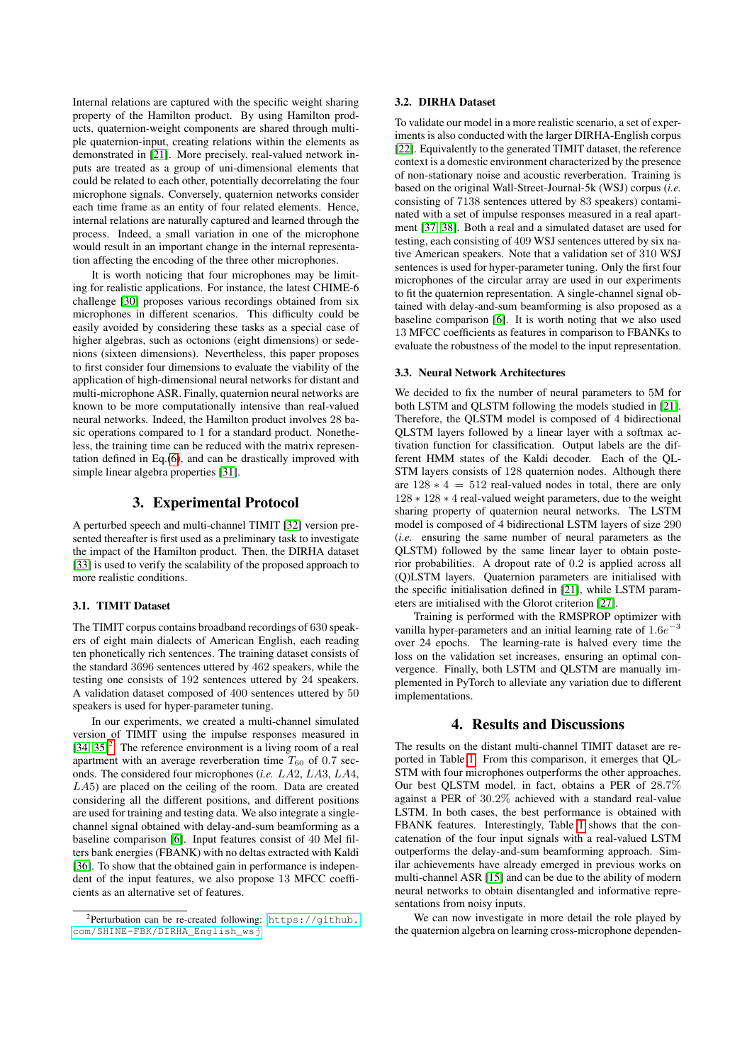Internal relations are captured with the specific weight sharing property of the Hamilton product. By using Hamilton products, quaternion-weight components are shared through multiple quaternion-input, creating relations within the elements as demonstrated in [\[21\]](#page-4-20). More precisely, real-valued network inputs are treated as a group of uni-dimensional elements that could be related to each other, potentially decorrelating the four microphone signals. Conversely, quaternion networks consider each time frame as an entity of four related elements. Hence, internal relations are naturally captured and learned through the process. Indeed, a small variation in one of the microphone would result in an important change in the internal representation affecting the encoding of the three other microphones.

It is worth noticing that four microphones may be limiting for realistic applications. For instance, the latest CHIME-6 challenge [\[30\]](#page-4-29) proposes various recordings obtained from six microphones in different scenarios. This difficulty could be easily avoided by considering these tasks as a special case of higher algebras, such as octonions (eight dimensions) or sedenions (sixteen dimensions). Nevertheless, this paper proposes to first consider four dimensions to evaluate the viability of the application of high-dimensional neural networks for distant and multi-microphone ASR. Finally, quaternion neural networks are known to be more computationally intensive than real-valued neural networks. Indeed, the Hamilton product involves 28 basic operations compared to 1 for a standard product. Nonetheless, the training time can be reduced with the matrix representation defined in Eq.[\(6\)](#page-1-5), and can be drastically improved with simple linear algebra properties [\[31\]](#page-4-30).

# 3. Experimental Protocol

A perturbed speech and multi-channel TIMIT [\[32\]](#page-4-31) version presented thereafter is first used as a preliminary task to investigate the impact of the Hamilton product. Then, the DIRHA dataset [\[33\]](#page-4-32) is used to verify the scalability of the proposed approach to more realistic conditions.

#### 3.1. TIMIT Dataset

The TIMIT corpus contains broadband recordings of 630 speakers of eight main dialects of American English, each reading ten phonetically rich sentences. The training dataset consists of the standard 3696 sentences uttered by 462 speakers, while the testing one consists of 192 sentences uttered by 24 speakers. A validation dataset composed of 400 sentences uttered by 50 speakers is used for hyper-parameter tuning.

In our experiments, we created a multi-channel simulated version of TIMIT using the impulse responses measured in  $[34, 35]^2$  $[34, 35]^2$  $[34, 35]^2$  $[34, 35]^2$ . The reference environment is a living room of a real apartment with an average reverberation time  $T_{60}$  of 0.7 seconds. The considered four microphones (*i.e.* LA2, LA3, LA4,  $LA5$ ) are placed on the ceiling of the room. Data are created considering all the different positions, and different positions are used for training and testing data. We also integrate a singlechannel signal obtained with delay-and-sum beamforming as a baseline comparison [\[6\]](#page-4-5). Input features consist of 40 Mel filters bank energies (FBANK) with no deltas extracted with Kaldi [\[36\]](#page-4-35). To show that the obtained gain in performance is independent of the input features, we also propose 13 MFCC coefficients as an alternative set of features.

#### 3.2. DIRHA Dataset

To validate our model in a more realistic scenario, a set of experiments is also conducted with the larger DIRHA-English corpus [\[22\]](#page-4-21). Equivalently to the generated TIMIT dataset, the reference context is a domestic environment characterized by the presence of non-stationary noise and acoustic reverberation. Training is based on the original Wall-Street-Journal-5k (WSJ) corpus (*i.e.* consisting of 7138 sentences uttered by 83 speakers) contaminated with a set of impulse responses measured in a real apartment [\[37,](#page-4-36) [38\]](#page-4-37). Both a real and a simulated dataset are used for testing, each consisting of 409 WSJ sentences uttered by six native American speakers. Note that a validation set of 310 WSJ sentences is used for hyper-parameter tuning. Only the first four microphones of the circular array are used in our experiments to fit the quaternion representation. A single-channel signal obtained with delay-and-sum beamforming is also proposed as a baseline comparison [\[6\]](#page-4-5). It is worth noting that we also used 13 MFCC coefficients as features in comparison to FBANKs to evaluate the robustness of the model to the input representation.

#### 3.3. Neural Network Architectures

We decided to fix the number of neural parameters to 5M for both LSTM and QLSTM following the models studied in [\[21\]](#page-4-20). Therefore, the QLSTM model is composed of 4 bidirectional QLSTM layers followed by a linear layer with a softmax activation function for classification. Output labels are the different HMM states of the Kaldi decoder. Each of the QL-STM layers consists of 128 quaternion nodes. Although there are  $128 * 4 = 512$  real-valued nodes in total, there are only 128 ∗ 128 ∗ 4 real-valued weight parameters, due to the weight sharing property of quaternion neural networks. The LSTM model is composed of 4 bidirectional LSTM layers of size 290 (*i.e.* ensuring the same number of neural parameters as the QLSTM) followed by the same linear layer to obtain posterior probabilities. A dropout rate of 0.2 is applied across all (Q)LSTM layers. Quaternion parameters are initialised with the specific initialisation defined in [\[21\]](#page-4-20), while LSTM parameters are initialised with the Glorot criterion [\[27\]](#page-4-26).

Training is performed with the RMSPROP optimizer with vanilla hyper-parameters and an initial learning rate of  $1.6e^{-3}$ over 24 epochs. The learning-rate is halved every time the loss on the validation set increases, ensuring an optimal convergence. Finally, both LSTM and QLSTM are manually implemented in PyTorch to alleviate any variation due to different implementations.

## 4. Results and Discussions

The results on the distant multi-channel TIMIT dataset are reported in Table [1.](#page-3-0) From this comparison, it emerges that QL-STM with four microphones outperforms the other approaches. Our best QLSTM model, in fact, obtains a PER of 28.7% against a PER of 30.2% achieved with a standard real-value LSTM. In both cases, the best performance is obtained with FBANK features. Interestingly, Table [1](#page-3-0) shows that the concatenation of the four input signals with a real-valued LSTM outperforms the delay-and-sum beamforming approach. Similar achievements have already emerged in previous works on multi-channel ASR [\[15\]](#page-4-14) and can be due to the ability of modern neural networks to obtain disentangled and informative representations from noisy inputs.

We can now investigate in more detail the role played by the quaternion algebra on learning cross-microphone dependen-

<span id="page-2-0"></span><sup>2</sup>Perturbation can be re-created following: [https://github.](https://github.com/SHINE-FBK/DIRHA_English_wsj) [com/SHINE-FBK/DIRHA\\_English\\_wsj](https://github.com/SHINE-FBK/DIRHA_English_wsj)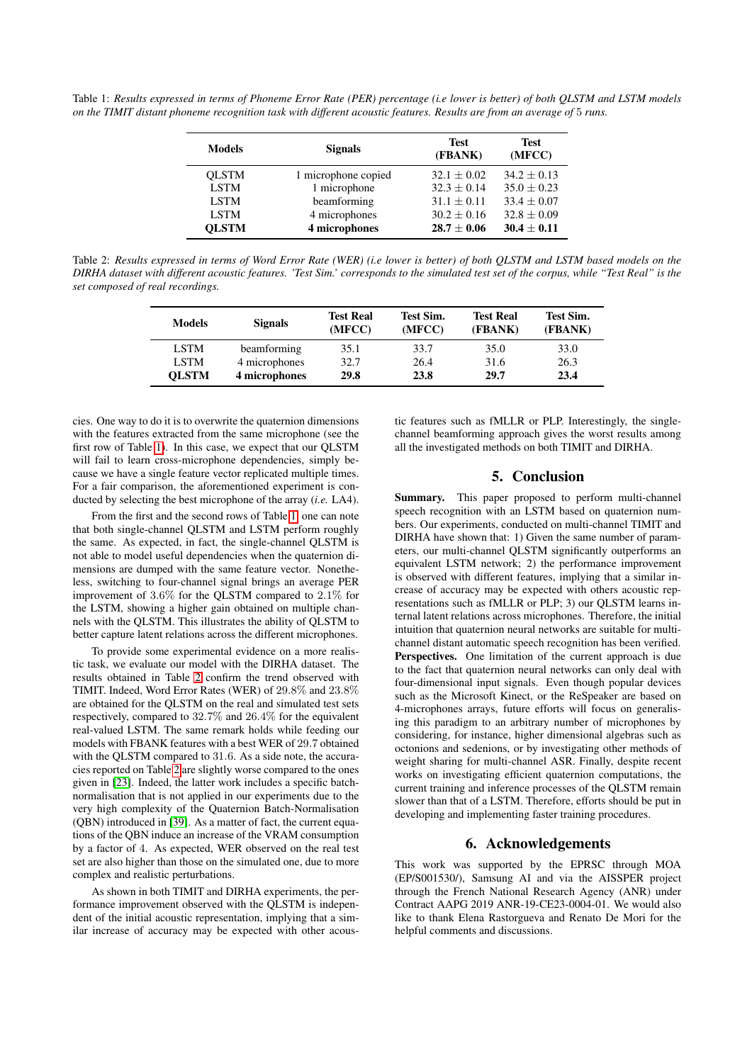<span id="page-3-0"></span>Table 1: *Results expressed in terms of Phoneme Error Rate (PER) percentage (i.e lower is better) of both QLSTM and LSTM models on the TIMIT distant phoneme recognition task with different acoustic features. Results are from an average of* 5 *runs.*

| <b>Models</b> | <b>Signals</b>      | <b>Test</b><br>(FBANK) | <b>Test</b><br>(MFCC) |
|---------------|---------------------|------------------------|-----------------------|
| <b>OLSTM</b>  | 1 microphone copied | $32.1 + 0.02$          | $34.2 + 0.13$         |
| <b>LSTM</b>   | 1 microphone        | $32.3 + 0.14$          | $35.0 + 0.23$         |
| <b>LSTM</b>   | beamforming         | $31.1 + 0.11$          | $33.4 \pm 0.07$       |
| <b>LSTM</b>   | 4 microphones       | $30.2 \pm 0.16$        | $32.8 \pm 0.09$       |
| <b>OLSTM</b>  | 4 microphones       | $28.7 \pm 0.06$        | $30.4 \pm 0.11$       |

<span id="page-3-1"></span>Table 2: *Results expressed in terms of Word Error Rate (WER) (i.e lower is better) of both QLSTM and LSTM based models on the DIRHA dataset with different acoustic features. 'Test Sim.' corresponds to the simulated test set of the corpus, while "Test Real" is the set composed of real recordings.*

| <b>Models</b> | <b>Signals</b> | <b>Test Real</b><br>(MFCC) | Test Sim.<br>(MFCC) | <b>Test Real</b><br>(FBANK) | Test Sim.<br>(FBANK) |
|---------------|----------------|----------------------------|---------------------|-----------------------------|----------------------|
| <b>LSTM</b>   | beamforming    | 35.1                       | 33.7                | 35.0                        | 33.0                 |
| <b>LSTM</b>   | 4 microphones  | 32.7                       | 26.4                | 31.6                        | 26.3                 |
| <b>OLSTM</b>  | 4 microphones  | 29.8                       | 23.8                | 29.7                        | 23.4                 |

cies. One way to do it is to overwrite the quaternion dimensions with the features extracted from the same microphone (see the first row of Table [1\)](#page-3-0). In this case, we expect that our QLSTM will fail to learn cross-microphone dependencies, simply because we have a single feature vector replicated multiple times. For a fair comparison, the aforementioned experiment is conducted by selecting the best microphone of the array (*i.e.* LA4).

From the first and the second rows of Table [1,](#page-3-0) one can note that both single-channel QLSTM and LSTM perform roughly the same. As expected, in fact, the single-channel QLSTM is not able to model useful dependencies when the quaternion dimensions are dumped with the same feature vector. Nonetheless, switching to four-channel signal brings an average PER improvement of 3.6% for the QLSTM compared to 2.1% for the LSTM, showing a higher gain obtained on multiple channels with the QLSTM. This illustrates the ability of QLSTM to better capture latent relations across the different microphones.

To provide some experimental evidence on a more realistic task, we evaluate our model with the DIRHA dataset. The results obtained in Table [2](#page-3-1) confirm the trend observed with TIMIT. Indeed, Word Error Rates (WER) of 29.8% and 23.8% are obtained for the QLSTM on the real and simulated test sets respectively, compared to 32.7% and 26.4% for the equivalent real-valued LSTM. The same remark holds while feeding our models with FBANK features with a best WER of 29.7 obtained with the QLSTM compared to 31.6. As a side note, the accuracies reported on Table [2](#page-3-1) are slightly worse compared to the ones given in [\[23\]](#page-4-22). Indeed, the latter work includes a specific batchnormalisation that is not applied in our experiments due to the very high complexity of the Quaternion Batch-Normalisation (QBN) introduced in [\[39\]](#page-4-38). As a matter of fact, the current equations of the QBN induce an increase of the VRAM consumption by a factor of 4. As expected, WER observed on the real test set are also higher than those on the simulated one, due to more complex and realistic perturbations.

As shown in both TIMIT and DIRHA experiments, the performance improvement observed with the QLSTM is independent of the initial acoustic representation, implying that a similar increase of accuracy may be expected with other acoustic features such as fMLLR or PLP. Interestingly, the singlechannel beamforming approach gives the worst results among all the investigated methods on both TIMIT and DIRHA.

# 5. Conclusion

Summary. This paper proposed to perform multi-channel speech recognition with an LSTM based on quaternion numbers. Our experiments, conducted on multi-channel TIMIT and DIRHA have shown that: 1) Given the same number of parameters, our multi-channel QLSTM significantly outperforms an equivalent LSTM network; 2) the performance improvement is observed with different features, implying that a similar increase of accuracy may be expected with others acoustic representations such as fMLLR or PLP; 3) our QLSTM learns internal latent relations across microphones. Therefore, the initial intuition that quaternion neural networks are suitable for multichannel distant automatic speech recognition has been verified. Perspectives. One limitation of the current approach is due to the fact that quaternion neural networks can only deal with four-dimensional input signals. Even though popular devices such as the Microsoft Kinect, or the ReSpeaker are based on 4-microphones arrays, future efforts will focus on generalising this paradigm to an arbitrary number of microphones by considering, for instance, higher dimensional algebras such as octonions and sedenions, or by investigating other methods of weight sharing for multi-channel ASR. Finally, despite recent works on investigating efficient quaternion computations, the current training and inference processes of the QLSTM remain slower than that of a LSTM. Therefore, efforts should be put in developing and implementing faster training procedures.

### 6. Acknowledgements

This work was supported by the EPRSC through MOA (EP/S001530/), Samsung AI and via the AISSPER project through the French National Research Agency (ANR) under Contract AAPG 2019 ANR-19-CE23-0004-01. We would also like to thank Elena Rastorgueva and Renato De Mori for the helpful comments and discussions.